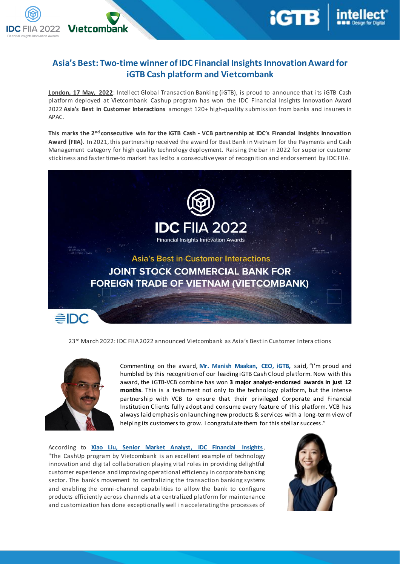## **Asia's Best: Two-time winner of IDC Financial InsightsInnovation Award for iGTB Cash platform and Vietcombank**

**London, 17 May, 2022**: Intellect Global Transaction Banking (iGTB), is proud to announce that its iGTB Cash platform deployed at Vietcombank Cashup program has won the IDC Financial Insights Innovation Award 2022 **Asia's Best in Customer Interactions** amongst 120+ high-quality submission from banks and insurers in APAC.

**This marks the 2nd consecutive win for the iGTB Cash - VCB partnership at IDC's Financial Insights Innovation Award (FIIA)**. In 2021, this partnership received the award for Best Bank in Vietnam for the Payments and Cash Management category for high quality technology deployment. Raising the bar in 2022 for superior customer stickiness and faster time-to market has led to a consecutive year of recognition and endorsement by IDC FIIA.



23<sup>rd</sup> March 2022: IDC FIIA 2022 announced Vietcombank as Asia's Bestin Customer Intera ctions



Vietcombank

つのつつ

Commenting on the award, **Mr. Manish Maakan, CEO, iGTB,** said, "I'm proud and humbled by this recognition of our leading iGTB Cash Cloud platform. Now with this award, the iGTB-VCB combine has won **3 major analyst-endorsed awards in just 12 months**. This is a testament not only to the technology platform, but the intense partnership with VCB to ensure that their privileged Corporate and Financial Institution Clients fully adopt and consume every feature of this platform. VCB has always laid emphasis on launching new products & services with a long-term view of helping its customers to grow. I congratulate them for this stellar success."

According to **Xiao Liu, Senior Market Analyst, IDC Financial Insights**, "The CashUp program by Vietcombank is an excellent example of technology innovation and digital collaboration playing vital roles in providing delightful customer experience and improving operational efficiency in corporate banking sector. The bank's movement to centralizing the transaction banking systems and enabling the omni-channel capabilities to allow the bank to configure products efficiently across channels at a centralized platform for maintenance and customization has done exceptionally well in accelerating the processes of

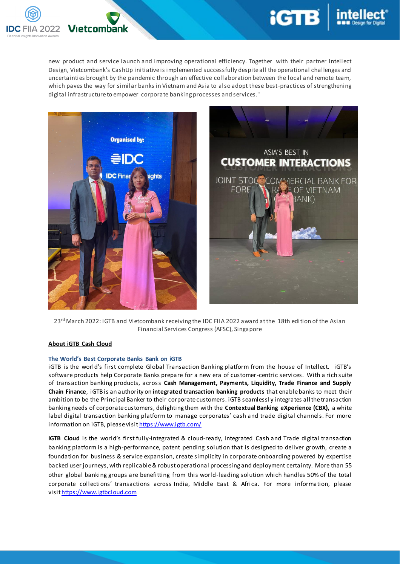

new product and service launch and improving operational efficiency. Together with their partner Intellect Design, Vietcombank's CashUp initiative is implemented successfully despite all the operational challenges and uncertainties brought by the pandemic through an effective collaboration between the local and remote team, which paves the way for similar banks in Vietnam and Asia to also adopt these best-practices of strengthening digital infrastructure to empower corporate banking processes and services."

**iGTB** 



23<sup>rd</sup> March 2022: iGTB and Vietcombank receiving the IDC FIIA 2022 award at the 18th edition of the Asian Financial Services Congress (AFSC), Singapore

## **About iGTB Cash Cloud**

## **The World's Best Corporate Banks Bank on iGTB**

iGTB is the world's first complete Global Transaction Banking platform from the house of Intellect. iGTB's software products help Corporate Banks prepare for a new era of customer-centric services. With a rich suite of transaction banking products, across **Cash Management, Payments, Liquidity, Trade Finance and Supply Chain Finance**, iGTB is an authority on **integrated transaction banking products** that enable banks to meet their ambition to be the Principal Banker to their corporate customers. iGTB seamlessl y integrates all the transaction banking needs of corporate customers, delighting them with the **Contextual Banking eXperience (CBX),** a white label digital transaction banking platform to manage corporates' cash and trade digital channels. For more information on iGTB, please visi[t https://www.igtb.com/](https://www.igtb.com/)

**iGTB Cloud** is the world's first fully-integrated & cloud-ready, Integrated Cash and Trade digital transaction banking platform is a high-performance, patent pending solution that is designed to deliver growth, create a foundation for business & service expansion, create simplicity in corporate onboarding powered by expertise backed user journeys, with replicable & robust operational processing and deployment certainty. More than 55 other global banking groups are benefitting from this world-leading solution which handles 50% of the total corporate collections' transactions across India, Middle East & Africa. For more information, please visit https://www.igtbcloud.com